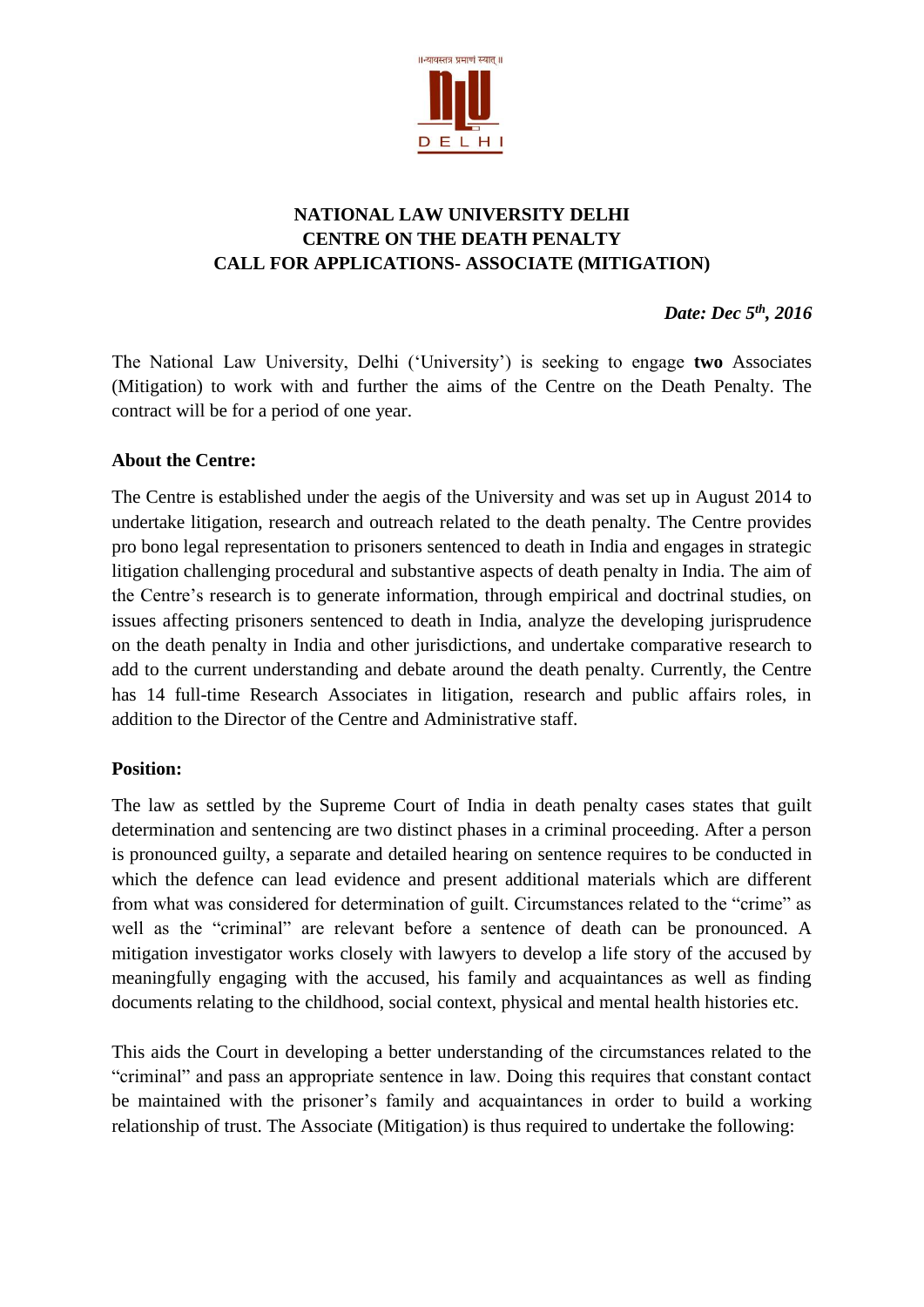

# **NATIONAL LAW UNIVERSITY DELHI CENTRE ON THE DEATH PENALTY CALL FOR APPLICATIONS- ASSOCIATE (MITIGATION)**

*Date: Dec 5th , 2016*

The National Law University, Delhi ('University') is seeking to engage **two** Associates (Mitigation) to work with and further the aims of the Centre on the Death Penalty. The contract will be for a period of one year.

### **About the Centre:**

The Centre is established under the aegis of the University and was set up in August 2014 to undertake litigation, research and outreach related to the death penalty. The Centre provides pro bono legal representation to prisoners sentenced to death in India and engages in strategic litigation challenging procedural and substantive aspects of death penalty in India. The aim of the Centre's research is to generate information, through empirical and doctrinal studies, on issues affecting prisoners sentenced to death in India, analyze the developing jurisprudence on the death penalty in India and other jurisdictions, and undertake comparative research to add to the current understanding and debate around the death penalty. Currently, the Centre has 14 full-time Research Associates in litigation, research and public affairs roles, in addition to the Director of the Centre and Administrative staff.

#### **Position:**

The law as settled by the Supreme Court of India in death penalty cases states that guilt determination and sentencing are two distinct phases in a criminal proceeding. After a person is pronounced guilty, a separate and detailed hearing on sentence requires to be conducted in which the defence can lead evidence and present additional materials which are different from what was considered for determination of guilt. Circumstances related to the "crime" as well as the "criminal" are relevant before a sentence of death can be pronounced. A mitigation investigator works closely with lawyers to develop a life story of the accused by meaningfully engaging with the accused, his family and acquaintances as well as finding documents relating to the childhood, social context, physical and mental health histories etc.

This aids the Court in developing a better understanding of the circumstances related to the "criminal" and pass an appropriate sentence in law. Doing this requires that constant contact be maintained with the prisoner's family and acquaintances in order to build a working relationship of trust. The Associate (Mitigation) is thus required to undertake the following: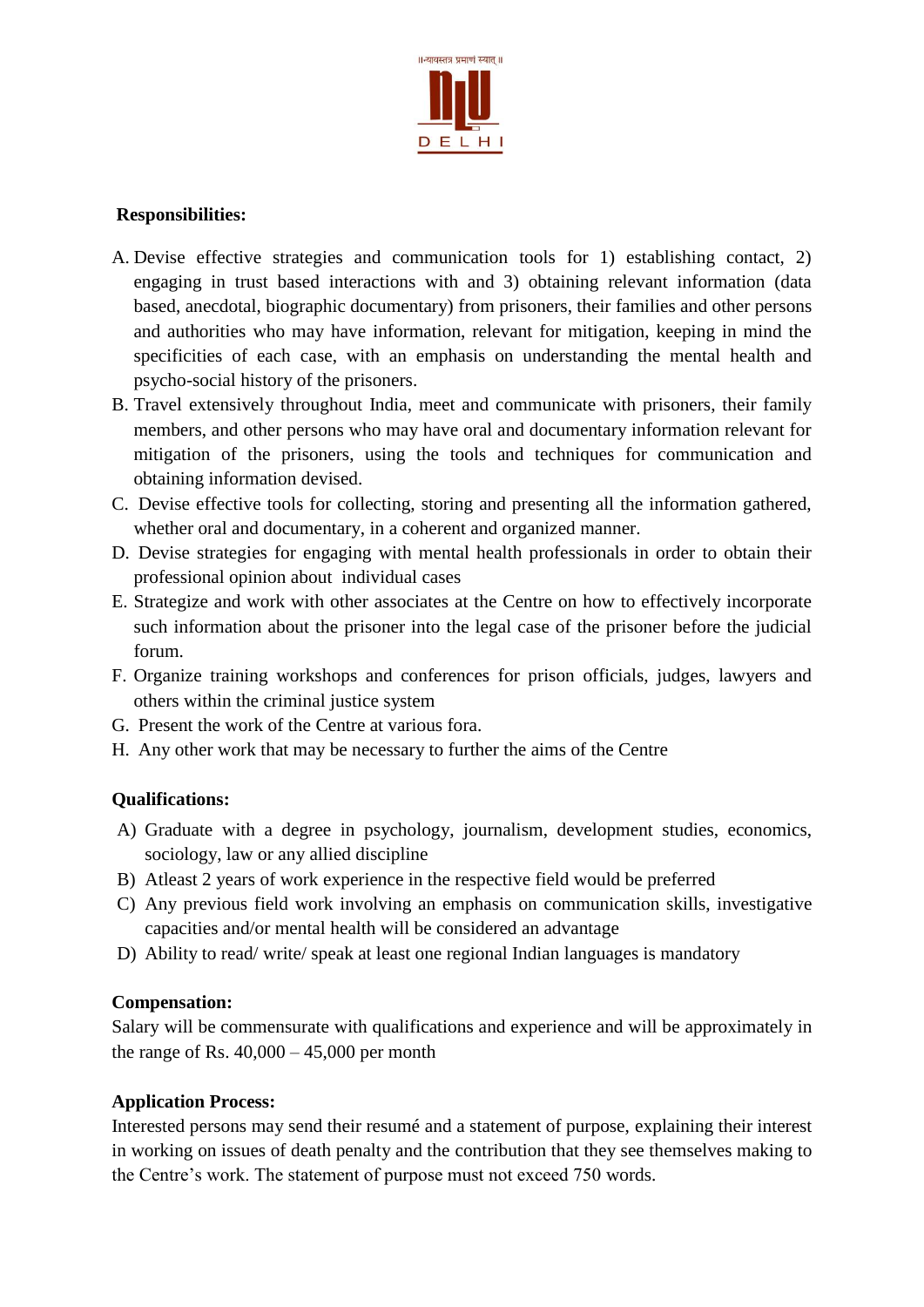

### **Responsibilities:**

- A. Devise effective strategies and communication tools for 1) establishing contact, 2) engaging in trust based interactions with and 3) obtaining relevant information (data based, anecdotal, biographic documentary) from prisoners, their families and other persons and authorities who may have information, relevant for mitigation, keeping in mind the specificities of each case, with an emphasis on understanding the mental health and psycho-social history of the prisoners.
- B. Travel extensively throughout India, meet and communicate with prisoners, their family members, and other persons who may have oral and documentary information relevant for mitigation of the prisoners, using the tools and techniques for communication and obtaining information devised.
- C. Devise effective tools for collecting, storing and presenting all the information gathered, whether oral and documentary, in a coherent and organized manner.
- D. Devise strategies for engaging with mental health professionals in order to obtain their professional opinion about individual cases
- E. Strategize and work with other associates at the Centre on how to effectively incorporate such information about the prisoner into the legal case of the prisoner before the judicial forum.
- F. Organize training workshops and conferences for prison officials, judges, lawyers and others within the criminal justice system
- G. Present the work of the Centre at various fora.
- H. Any other work that may be necessary to further the aims of the Centre

#### **Qualifications:**

- A) Graduate with a degree in psychology, journalism, development studies, economics, sociology, law or any allied discipline
- B) Atleast 2 years of work experience in the respective field would be preferred
- C) Any previous field work involving an emphasis on communication skills, investigative capacities and/or mental health will be considered an advantage
- D) Ability to read/ write/ speak at least one regional Indian languages is mandatory

#### **Compensation:**

Salary will be commensurate with qualifications and experience and will be approximately in the range of Rs.  $40,000 - 45,000$  per month

#### **Application Process:**

Interested persons may send their resumé and a statement of purpose, explaining their interest in working on issues of death penalty and the contribution that they see themselves making to the Centre's work. The statement of purpose must not exceed 750 words.